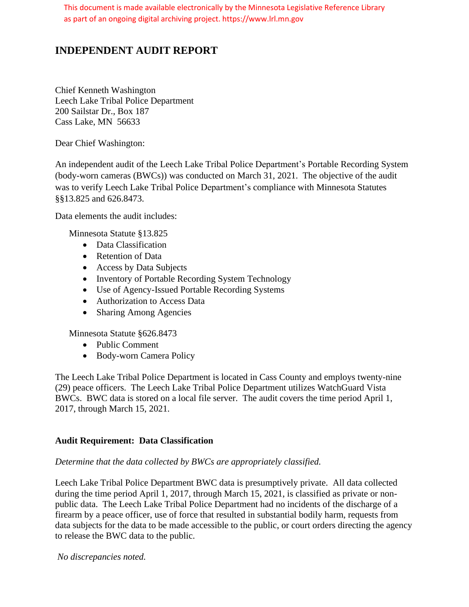This document is made available electronically by the Minnesota Legislative Reference Library as part of an ongoing digital archiving project. https://www.lrl.mn.gov

# **INDEPENDENT AUDIT REPORT**

Chief Kenneth Washington Leech Lake Tribal Police Department 200 Sailstar Dr., Box 187 Cass Lake, MN 56633

Dear Chief Washington:

An independent audit of the Leech Lake Tribal Police Department's Portable Recording System (body-worn cameras (BWCs)) was conducted on March 31, 2021. The objective of the audit was to verify Leech Lake Tribal Police Department's compliance with Minnesota Statutes §§13.825 and 626.8473.

Data elements the audit includes:

Minnesota Statute §13.825

- Data Classification
- Retention of Data
- Access by Data Subjects
- Inventory of Portable Recording System Technology
- Use of Agency-Issued Portable Recording Systems
- Authorization to Access Data
- Sharing Among Agencies

Minnesota Statute §626.8473

- Public Comment
- Body-worn Camera Policy

The Leech Lake Tribal Police Department is located in Cass County and employs twenty-nine (29) peace officers. The Leech Lake Tribal Police Department utilizes WatchGuard Vista BWCs. BWC data is stored on a local file server. The audit covers the time period April 1, 2017, through March 15, 2021.

### **Audit Requirement: Data Classification**

### *Determine that the data collected by BWCs are appropriately classified.*

Leech Lake Tribal Police Department BWC data is presumptively private. All data collected during the time period April 1, 2017, through March 15, 2021, is classified as private or nonpublic data. The Leech Lake Tribal Police Department had no incidents of the discharge of a firearm by a peace officer, use of force that resulted in substantial bodily harm, requests from data subjects for the data to be made accessible to the public, or court orders directing the agency to release the BWC data to the public.

*No discrepancies noted.*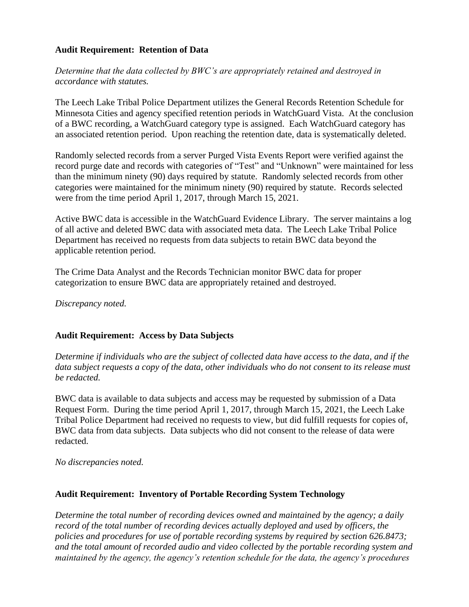#### **Audit Requirement: Retention of Data**

*Determine that the data collected by BWC's are appropriately retained and destroyed in accordance with statutes.*

The Leech Lake Tribal Police Department utilizes the General Records Retention Schedule for Minnesota Cities and agency specified retention periods in WatchGuard Vista. At the conclusion of a BWC recording, a WatchGuard category type is assigned. Each WatchGuard category has an associated retention period. Upon reaching the retention date, data is systematically deleted.

Randomly selected records from a server Purged Vista Events Report were verified against the record purge date and records with categories of "Test" and "Unknown" were maintained for less than the minimum ninety (90) days required by statute. Randomly selected records from other categories were maintained for the minimum ninety (90) required by statute. Records selected were from the time period April 1, 2017, through March 15, 2021.

Active BWC data is accessible in the WatchGuard Evidence Library. The server maintains a log of all active and deleted BWC data with associated meta data. The Leech Lake Tribal Police Department has received no requests from data subjects to retain BWC data beyond the applicable retention period.

The Crime Data Analyst and the Records Technician monitor BWC data for proper categorization to ensure BWC data are appropriately retained and destroyed.

*Discrepancy noted.*

### **Audit Requirement: Access by Data Subjects**

*Determine if individuals who are the subject of collected data have access to the data, and if the data subject requests a copy of the data, other individuals who do not consent to its release must be redacted.*

BWC data is available to data subjects and access may be requested by submission of a Data Request Form. During the time period April 1, 2017, through March 15, 2021, the Leech Lake Tribal Police Department had received no requests to view, but did fulfill requests for copies of, BWC data from data subjects. Data subjects who did not consent to the release of data were redacted.

*No discrepancies noted.*

### **Audit Requirement: Inventory of Portable Recording System Technology**

*Determine the total number of recording devices owned and maintained by the agency; a daily record of the total number of recording devices actually deployed and used by officers, the policies and procedures for use of portable recording systems by required by section 626.8473; and the total amount of recorded audio and video collected by the portable recording system and maintained by the agency, the agency's retention schedule for the data, the agency's procedures*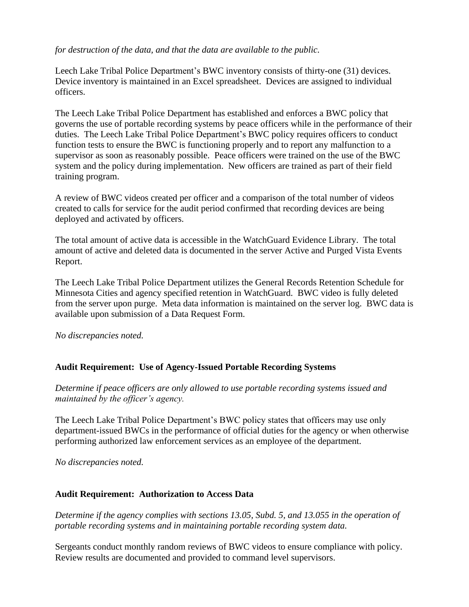#### *for destruction of the data, and that the data are available to the public.*

Leech Lake Tribal Police Department's BWC inventory consists of thirty-one (31) devices. Device inventory is maintained in an Excel spreadsheet. Devices are assigned to individual officers.

The Leech Lake Tribal Police Department has established and enforces a BWC policy that governs the use of portable recording systems by peace officers while in the performance of their duties. The Leech Lake Tribal Police Department's BWC policy requires officers to conduct function tests to ensure the BWC is functioning properly and to report any malfunction to a supervisor as soon as reasonably possible. Peace officers were trained on the use of the BWC system and the policy during implementation. New officers are trained as part of their field training program.

A review of BWC videos created per officer and a comparison of the total number of videos created to calls for service for the audit period confirmed that recording devices are being deployed and activated by officers.

The total amount of active data is accessible in the WatchGuard Evidence Library. The total amount of active and deleted data is documented in the server Active and Purged Vista Events Report.

The Leech Lake Tribal Police Department utilizes the General Records Retention Schedule for Minnesota Cities and agency specified retention in WatchGuard. BWC video is fully deleted from the server upon purge. Meta data information is maintained on the server log. BWC data is available upon submission of a Data Request Form.

*No discrepancies noted.*

# **Audit Requirement: Use of Agency-Issued Portable Recording Systems**

*Determine if peace officers are only allowed to use portable recording systems issued and maintained by the officer's agency.*

The Leech Lake Tribal Police Department's BWC policy states that officers may use only department-issued BWCs in the performance of official duties for the agency or when otherwise performing authorized law enforcement services as an employee of the department.

*No discrepancies noted.*

### **Audit Requirement: Authorization to Access Data**

*Determine if the agency complies with sections 13.05, Subd. 5, and 13.055 in the operation of portable recording systems and in maintaining portable recording system data.*

Sergeants conduct monthly random reviews of BWC videos to ensure compliance with policy. Review results are documented and provided to command level supervisors.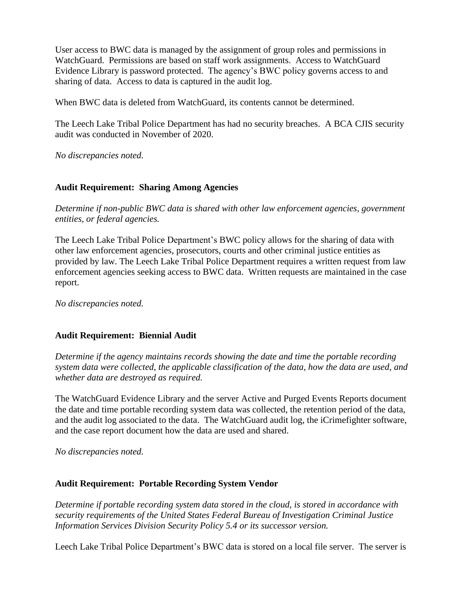User access to BWC data is managed by the assignment of group roles and permissions in WatchGuard. Permissions are based on staff work assignments. Access to WatchGuard Evidence Library is password protected. The agency's BWC policy governs access to and sharing of data. Access to data is captured in the audit log.

When BWC data is deleted from WatchGuard, its contents cannot be determined.

The Leech Lake Tribal Police Department has had no security breaches. A BCA CJIS security audit was conducted in November of 2020.

*No discrepancies noted.*

### **Audit Requirement: Sharing Among Agencies**

*Determine if non-public BWC data is shared with other law enforcement agencies, government entities, or federal agencies.*

The Leech Lake Tribal Police Department's BWC policy allows for the sharing of data with other law enforcement agencies, prosecutors, courts and other criminal justice entities as provided by law. The Leech Lake Tribal Police Department requires a written request from law enforcement agencies seeking access to BWC data. Written requests are maintained in the case report.

*No discrepancies noted.*

### **Audit Requirement: Biennial Audit**

*Determine if the agency maintains records showing the date and time the portable recording system data were collected, the applicable classification of the data, how the data are used, and whether data are destroyed as required.* 

The WatchGuard Evidence Library and the server Active and Purged Events Reports document the date and time portable recording system data was collected, the retention period of the data, and the audit log associated to the data. The WatchGuard audit log, the iCrimefighter software, and the case report document how the data are used and shared.

*No discrepancies noted.*

### **Audit Requirement: Portable Recording System Vendor**

*Determine if portable recording system data stored in the cloud, is stored in accordance with security requirements of the United States Federal Bureau of Investigation Criminal Justice Information Services Division Security Policy 5.4 or its successor version.*

Leech Lake Tribal Police Department's BWC data is stored on a local file server. The server is